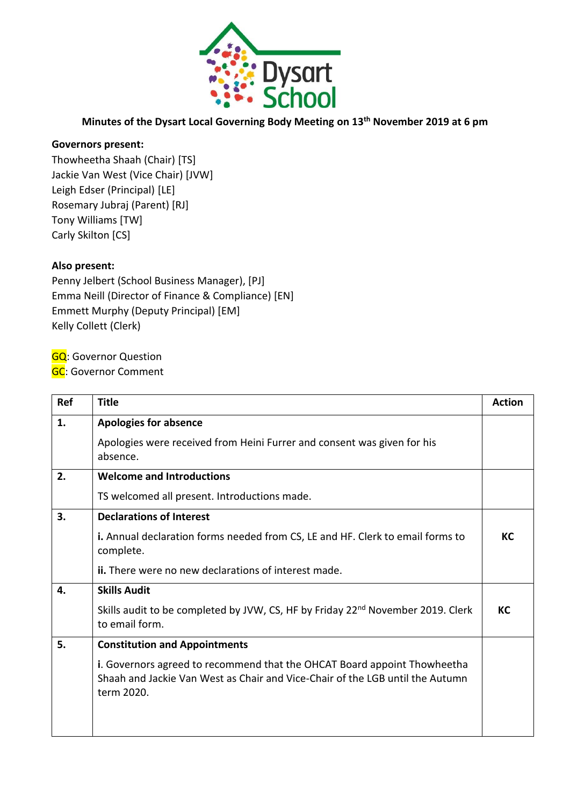

## **Minutes of the Dysart Local Governing Body Meeting on 13th November 2019 at 6 pm**

## **Governors present:**

Thowheetha Shaah (Chair) [TS] Jackie Van West (Vice Chair) [JVW] Leigh Edser (Principal) [LE] Rosemary Jubraj (Parent) [RJ] Tony Williams [TW] Carly Skilton [CS]

## **Also present:**

Penny Jelbert (School Business Manager), [PJ] Emma Neill (Director of Finance & Compliance) [EN] Emmett Murphy (Deputy Principal) [EM] Kelly Collett (Clerk)

**GQ: Governor Question** 

**GC: Governor Comment** 

| Ref | <b>Title</b>                                                                                                                                                            | <b>Action</b> |
|-----|-------------------------------------------------------------------------------------------------------------------------------------------------------------------------|---------------|
| 1.  | <b>Apologies for absence</b>                                                                                                                                            |               |
|     | Apologies were received from Heini Furrer and consent was given for his<br>absence.                                                                                     |               |
| 2.  | <b>Welcome and Introductions</b>                                                                                                                                        |               |
|     | TS welcomed all present. Introductions made.                                                                                                                            |               |
| 3.  | <b>Declarations of Interest</b>                                                                                                                                         |               |
|     | i. Annual declaration forms needed from CS, LE and HF. Clerk to email forms to<br>complete.                                                                             | КC            |
|     | <b>ii.</b> There were no new declarations of interest made.                                                                                                             |               |
| 4.  | <b>Skills Audit</b>                                                                                                                                                     |               |
|     | Skills audit to be completed by JVW, CS, HF by Friday 22 <sup>nd</sup> November 2019. Clerk<br>to email form.                                                           | КC            |
| 5.  | <b>Constitution and Appointments</b>                                                                                                                                    |               |
|     | i. Governors agreed to recommend that the OHCAT Board appoint Thowheetha<br>Shaah and Jackie Van West as Chair and Vice-Chair of the LGB until the Autumn<br>term 2020. |               |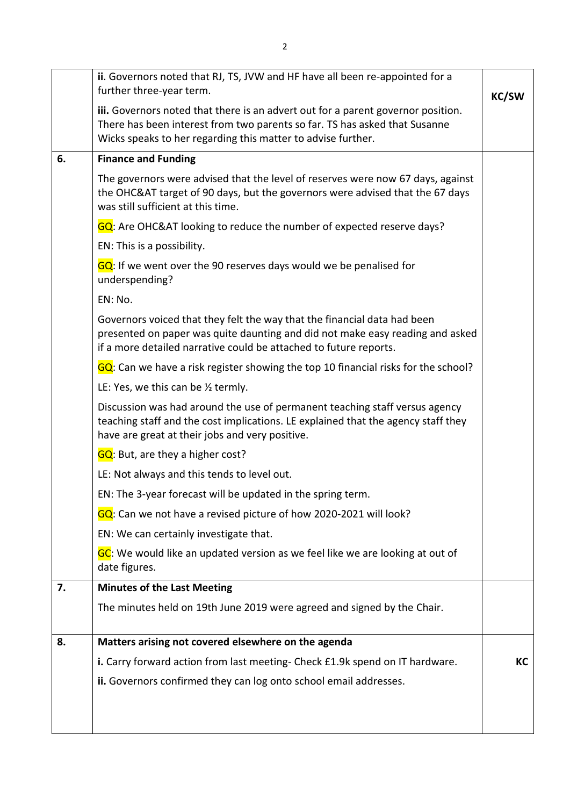|    | ii. Governors noted that RJ, TS, JVW and HF have all been re-appointed for a<br>further three-year term.                                                                                                                       | <b>KC/SW</b> |
|----|--------------------------------------------------------------------------------------------------------------------------------------------------------------------------------------------------------------------------------|--------------|
|    | iii. Governors noted that there is an advert out for a parent governor position.<br>There has been interest from two parents so far. TS has asked that Susanne<br>Wicks speaks to her regarding this matter to advise further. |              |
| 6. | <b>Finance and Funding</b>                                                                                                                                                                                                     |              |
|    | The governors were advised that the level of reserves were now 67 days, against<br>the OHC&AT target of 90 days, but the governors were advised that the 67 days<br>was still sufficient at this time.                         |              |
|    | GQ: Are OHC&AT looking to reduce the number of expected reserve days?                                                                                                                                                          |              |
|    | EN: This is a possibility.                                                                                                                                                                                                     |              |
|    | $GQ$ : If we went over the 90 reserves days would we be penalised for<br>underspending?                                                                                                                                        |              |
|    | EN: No.                                                                                                                                                                                                                        |              |
|    | Governors voiced that they felt the way that the financial data had been<br>presented on paper was quite daunting and did not make easy reading and asked<br>if a more detailed narrative could be attached to future reports. |              |
|    | GQ: Can we have a risk register showing the top 10 financial risks for the school?                                                                                                                                             |              |
|    | LE: Yes, we this can be $\frac{1}{2}$ termly.                                                                                                                                                                                  |              |
|    | Discussion was had around the use of permanent teaching staff versus agency<br>teaching staff and the cost implications. LE explained that the agency staff they<br>have are great at their jobs and very positive.            |              |
|    | GQ: But, are they a higher cost?                                                                                                                                                                                               |              |
|    | LE: Not always and this tends to level out.                                                                                                                                                                                    |              |
|    | EN: The 3-year forecast will be updated in the spring term.                                                                                                                                                                    |              |
|    | GQ: Can we not have a revised picture of how 2020-2021 will look?                                                                                                                                                              |              |
|    | EN: We can certainly investigate that.                                                                                                                                                                                         |              |
|    | GC: We would like an updated version as we feel like we are looking at out of<br>date figures.                                                                                                                                 |              |
| 7. | <b>Minutes of the Last Meeting</b>                                                                                                                                                                                             |              |
|    | The minutes held on 19th June 2019 were agreed and signed by the Chair.                                                                                                                                                        |              |
| 8. | Matters arising not covered elsewhere on the agenda                                                                                                                                                                            |              |
|    | i. Carry forward action from last meeting- Check £1.9k spend on IT hardware.                                                                                                                                                   | КC           |
|    | ii. Governors confirmed they can log onto school email addresses.                                                                                                                                                              |              |
|    |                                                                                                                                                                                                                                |              |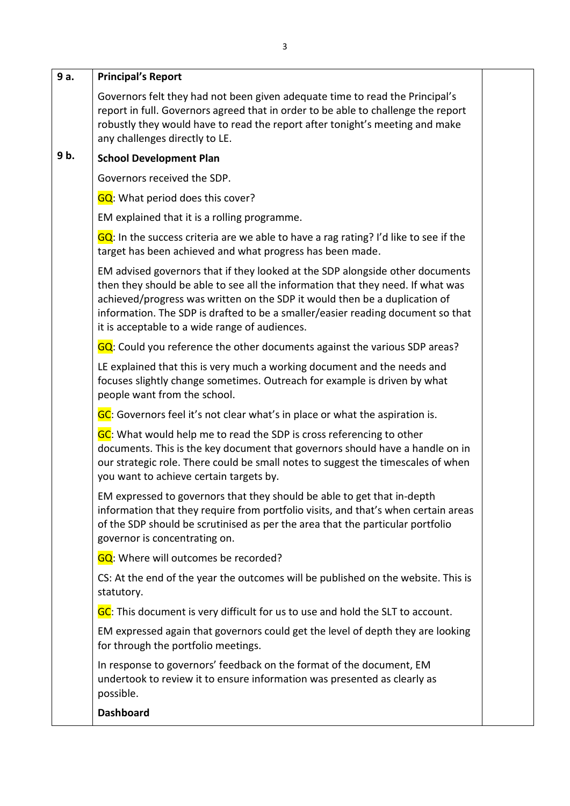| 9 a. | <b>Principal's Report</b>                                                                                                                                                                                                                                                                                                                                                           |  |
|------|-------------------------------------------------------------------------------------------------------------------------------------------------------------------------------------------------------------------------------------------------------------------------------------------------------------------------------------------------------------------------------------|--|
|      | Governors felt they had not been given adequate time to read the Principal's<br>report in full. Governors agreed that in order to be able to challenge the report<br>robustly they would have to read the report after tonight's meeting and make<br>any challenges directly to LE.                                                                                                 |  |
| 9b.  | <b>School Development Plan</b>                                                                                                                                                                                                                                                                                                                                                      |  |
|      | Governors received the SDP.                                                                                                                                                                                                                                                                                                                                                         |  |
|      | <b>GQ</b> : What period does this cover?                                                                                                                                                                                                                                                                                                                                            |  |
|      | EM explained that it is a rolling programme.                                                                                                                                                                                                                                                                                                                                        |  |
|      | $GQ$ : In the success criteria are we able to have a rag rating? I'd like to see if the<br>target has been achieved and what progress has been made.                                                                                                                                                                                                                                |  |
|      | EM advised governors that if they looked at the SDP alongside other documents<br>then they should be able to see all the information that they need. If what was<br>achieved/progress was written on the SDP it would then be a duplication of<br>information. The SDP is drafted to be a smaller/easier reading document so that<br>it is acceptable to a wide range of audiences. |  |
|      | GQ: Could you reference the other documents against the various SDP areas?                                                                                                                                                                                                                                                                                                          |  |
|      | LE explained that this is very much a working document and the needs and<br>focuses slightly change sometimes. Outreach for example is driven by what<br>people want from the school.                                                                                                                                                                                               |  |
|      | GC: Governors feel it's not clear what's in place or what the aspiration is.                                                                                                                                                                                                                                                                                                        |  |
|      | GC: What would help me to read the SDP is cross referencing to other<br>documents. This is the key document that governors should have a handle on in<br>our strategic role. There could be small notes to suggest the timescales of when<br>you want to achieve certain targets by.                                                                                                |  |
|      | EM expressed to governors that they should be able to get that in-depth<br>information that they require from portfolio visits, and that's when certain areas<br>of the SDP should be scrutinised as per the area that the particular portfolio<br>governor is concentrating on.                                                                                                    |  |
|      | GQ: Where will outcomes be recorded?                                                                                                                                                                                                                                                                                                                                                |  |
|      | CS: At the end of the year the outcomes will be published on the website. This is<br>statutory.                                                                                                                                                                                                                                                                                     |  |
|      | GC: This document is very difficult for us to use and hold the SLT to account.                                                                                                                                                                                                                                                                                                      |  |
|      | EM expressed again that governors could get the level of depth they are looking<br>for through the portfolio meetings.                                                                                                                                                                                                                                                              |  |
|      | In response to governors' feedback on the format of the document, EM<br>undertook to review it to ensure information was presented as clearly as<br>possible.                                                                                                                                                                                                                       |  |
|      | <b>Dashboard</b>                                                                                                                                                                                                                                                                                                                                                                    |  |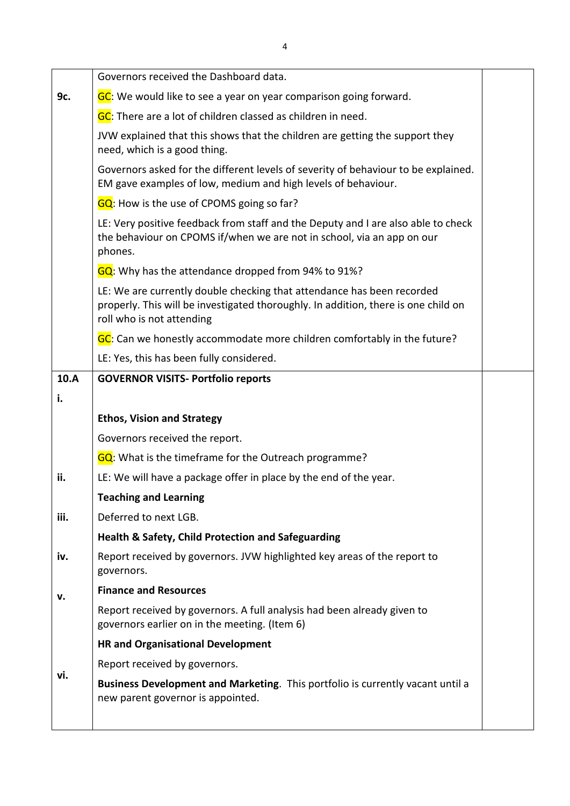|      | Governors received the Dashboard data.                                                                                                                                                    |  |
|------|-------------------------------------------------------------------------------------------------------------------------------------------------------------------------------------------|--|
| 9c.  | GC: We would like to see a year on year comparison going forward.                                                                                                                         |  |
|      | GC: There are a lot of children classed as children in need.                                                                                                                              |  |
|      | JVW explained that this shows that the children are getting the support they<br>need, which is a good thing.                                                                              |  |
|      | Governors asked for the different levels of severity of behaviour to be explained.<br>EM gave examples of low, medium and high levels of behaviour.                                       |  |
|      | GQ: How is the use of CPOMS going so far?                                                                                                                                                 |  |
|      | LE: Very positive feedback from staff and the Deputy and I are also able to check<br>the behaviour on CPOMS if/when we are not in school, via an app on our<br>phones.                    |  |
|      | GQ: Why has the attendance dropped from 94% to 91%?                                                                                                                                       |  |
|      | LE: We are currently double checking that attendance has been recorded<br>properly. This will be investigated thoroughly. In addition, there is one child on<br>roll who is not attending |  |
|      | GC: Can we honestly accommodate more children comfortably in the future?                                                                                                                  |  |
|      | LE: Yes, this has been fully considered.                                                                                                                                                  |  |
| 10.A | <b>GOVERNOR VISITS- Portfolio reports</b>                                                                                                                                                 |  |
| i.   |                                                                                                                                                                                           |  |
|      | <b>Ethos, Vision and Strategy</b>                                                                                                                                                         |  |
|      | Governors received the report.                                                                                                                                                            |  |
|      | <b>GQ</b> : What is the timeframe for the Outreach programme?                                                                                                                             |  |
| ii.  | LE: We will have a package offer in place by the end of the year.                                                                                                                         |  |
|      | <b>Teaching and Learning</b>                                                                                                                                                              |  |
| iii. | Deferred to next LGB.                                                                                                                                                                     |  |
|      | <b>Health &amp; Safety, Child Protection and Safeguarding</b>                                                                                                                             |  |
| iv.  | Report received by governors. JVW highlighted key areas of the report to<br>governors.                                                                                                    |  |
| v.   | <b>Finance and Resources</b>                                                                                                                                                              |  |
|      | Report received by governors. A full analysis had been already given to<br>governors earlier on in the meeting. (Item 6)                                                                  |  |
|      | <b>HR and Organisational Development</b>                                                                                                                                                  |  |
|      | Report received by governors.                                                                                                                                                             |  |
| vi.  | Business Development and Marketing. This portfolio is currently vacant until a<br>new parent governor is appointed.                                                                       |  |
|      |                                                                                                                                                                                           |  |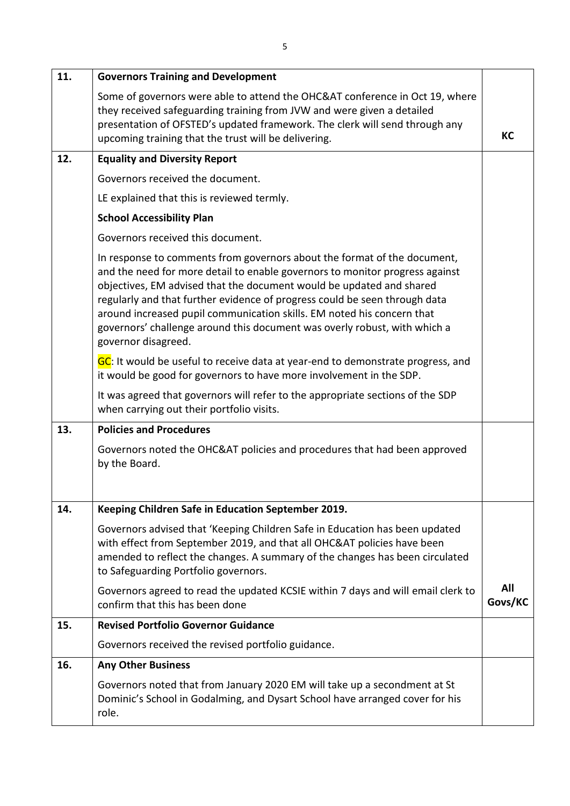| 11. | <b>Governors Training and Development</b>                                                                                                                                                                                                                                                                                                                                                                                                                                                    |                |
|-----|----------------------------------------------------------------------------------------------------------------------------------------------------------------------------------------------------------------------------------------------------------------------------------------------------------------------------------------------------------------------------------------------------------------------------------------------------------------------------------------------|----------------|
|     | Some of governors were able to attend the OHC&AT conference in Oct 19, where<br>they received safeguarding training from JVW and were given a detailed<br>presentation of OFSTED's updated framework. The clerk will send through any<br>upcoming training that the trust will be delivering.                                                                                                                                                                                                | KC             |
| 12. | <b>Equality and Diversity Report</b>                                                                                                                                                                                                                                                                                                                                                                                                                                                         |                |
|     | Governors received the document.                                                                                                                                                                                                                                                                                                                                                                                                                                                             |                |
|     | LE explained that this is reviewed termly.                                                                                                                                                                                                                                                                                                                                                                                                                                                   |                |
|     | <b>School Accessibility Plan</b>                                                                                                                                                                                                                                                                                                                                                                                                                                                             |                |
|     | Governors received this document.                                                                                                                                                                                                                                                                                                                                                                                                                                                            |                |
|     | In response to comments from governors about the format of the document,<br>and the need for more detail to enable governors to monitor progress against<br>objectives, EM advised that the document would be updated and shared<br>regularly and that further evidence of progress could be seen through data<br>around increased pupil communication skills. EM noted his concern that<br>governors' challenge around this document was overly robust, with which a<br>governor disagreed. |                |
|     | GC: It would be useful to receive data at year-end to demonstrate progress, and<br>it would be good for governors to have more involvement in the SDP.                                                                                                                                                                                                                                                                                                                                       |                |
|     | It was agreed that governors will refer to the appropriate sections of the SDP<br>when carrying out their portfolio visits.                                                                                                                                                                                                                                                                                                                                                                  |                |
| 13. | <b>Policies and Procedures</b>                                                                                                                                                                                                                                                                                                                                                                                                                                                               |                |
|     | Governors noted the OHC&AT policies and procedures that had been approved<br>by the Board.                                                                                                                                                                                                                                                                                                                                                                                                   |                |
| 14. | Keeping Children Safe in Education September 2019.                                                                                                                                                                                                                                                                                                                                                                                                                                           |                |
|     | Governors advised that 'Keeping Children Safe in Education has been updated<br>with effect from September 2019, and that all OHC&AT policies have been<br>amended to reflect the changes. A summary of the changes has been circulated<br>to Safeguarding Portfolio governors.                                                                                                                                                                                                               |                |
|     | Governors agreed to read the updated KCSIE within 7 days and will email clerk to<br>confirm that this has been done                                                                                                                                                                                                                                                                                                                                                                          | All<br>Govs/KC |
| 15. | <b>Revised Portfolio Governor Guidance</b>                                                                                                                                                                                                                                                                                                                                                                                                                                                   |                |
|     | Governors received the revised portfolio guidance.                                                                                                                                                                                                                                                                                                                                                                                                                                           |                |
| 16. | <b>Any Other Business</b>                                                                                                                                                                                                                                                                                                                                                                                                                                                                    |                |
|     | Governors noted that from January 2020 EM will take up a secondment at St<br>Dominic's School in Godalming, and Dysart School have arranged cover for his<br>role.                                                                                                                                                                                                                                                                                                                           |                |